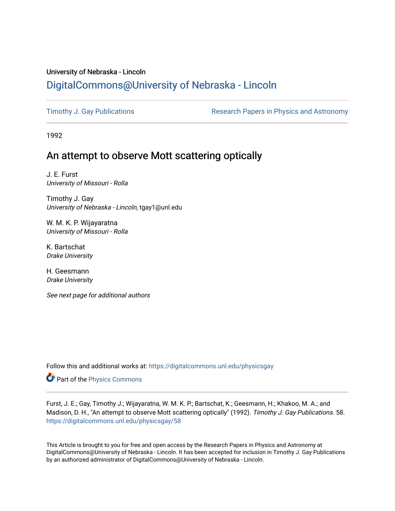# University of Nebraska - Lincoln [DigitalCommons@University of Nebraska - Lincoln](https://digitalcommons.unl.edu/)

[Timothy J. Gay Publications](https://digitalcommons.unl.edu/physicsgay) **Research Papers in Physics and Astronomy** 

1992

# An attempt to observe Mott scattering optically

J. E. Furst University of Missouri - Rolla

Timothy J. Gay University of Nebraska - Lincoln, tgay1@unl.edu

W. M. K. P. Wijayaratna University of Missouri - Rolla

K. Bartschat Drake University

H. Geesmann Drake University

See next page for additional authors

Follow this and additional works at: [https://digitalcommons.unl.edu/physicsgay](https://digitalcommons.unl.edu/physicsgay?utm_source=digitalcommons.unl.edu%2Fphysicsgay%2F58&utm_medium=PDF&utm_campaign=PDFCoverPages)

Part of the [Physics Commons](http://network.bepress.com/hgg/discipline/193?utm_source=digitalcommons.unl.edu%2Fphysicsgay%2F58&utm_medium=PDF&utm_campaign=PDFCoverPages)

Furst, J. E.; Gay, Timothy J.; Wijayaratna, W. M. K. P.; Bartschat, K.; Geesmann, H.; Khakoo, M. A.; and Madison, D. H., "An attempt to observe Mott scattering optically" (1992). Timothy J. Gay Publications. 58. [https://digitalcommons.unl.edu/physicsgay/58](https://digitalcommons.unl.edu/physicsgay/58?utm_source=digitalcommons.unl.edu%2Fphysicsgay%2F58&utm_medium=PDF&utm_campaign=PDFCoverPages) 

This Article is brought to you for free and open access by the Research Papers in Physics and Astronomy at DigitalCommons@University of Nebraska - Lincoln. It has been accepted for inclusion in Timothy J. Gay Publications by an authorized administrator of DigitalCommons@University of Nebraska - Lincoln.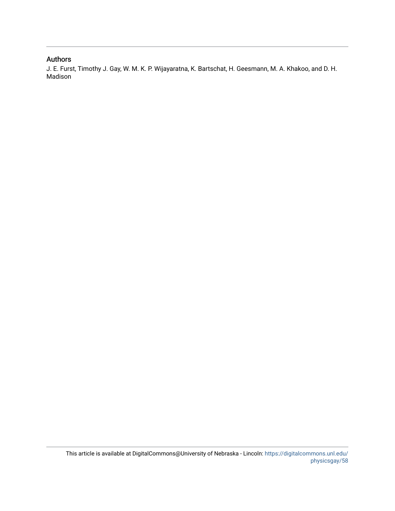# Authors

J. E. Furst, Timothy J. Gay, W. M. K. P. Wijayaratna, K. Bartschat, H. Geesmann, M. A. Khakoo, and D. H. Madison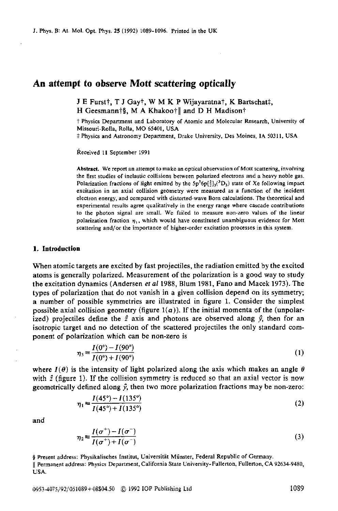## **An attempt to observe Mott scattering optically**

J E Furst†, T J Gay†, W M K P Wijayaratna†, K Bartschat‡, H Geesmann†§, M A Khakoo†|| and D H Madison†

**7** Physics Department and Laboratory of Atomic and Molecular Research, University of Missouri-Rolla, Rolla, **MO** 65401, **USA** 

**P** Physics and Astronomy Department, Drake University, Des Moines, IA 50311, USA

Received **I1** September **1991** 

**Abstract.** We report an attempt to make **an** optical observation of **Matt** scattering, involving the first studies of inelastic collisions between polarized electron^ and **a** heavy noble **gas.**  Polarization fractions of light emitted by the  $5p^{5}6p[\frac{5}{2}](^{3}D_{3})$  state of Xe following impact excitation in **an** axial collision geometry **were** measured as a funclion **of** the incident electron energy, and compared with distorted-wave Bom calculations. **The** theoretical and experimental results agree qualitatively in the energy range where cascade contributions to the photon signal are small. We failed to measure non-zero **values** of the linear polarization fraction  $\eta_1$ , which would have constituted unambiguous evidence for Mott scattering and/or the importance of higher-order excitation processes in this system.

### **1. Introduction**

When atomic targets are excited by fast projectiles, the radiation emitted by the excited atoms is generally polarized. Measurement of the polarization is a good way to study the excitation dynamics (Andersen et *al* **1988,** Blum **1981,** Fano and Macek **1973).** The types of polarization that do not vanish in a given collision depend on its symmetry; a number of possible symmetries are illustrated in figure 1. Consider the simplest possible axial collision geometry (figure  $1(a)$ ). If the initial momenta of the (unpolarized) projectiles define the  $\hat{z}$  axis and photons are observed along  $\hat{y}$ , then for an isotropic target and no detection of the scattered projectiles the only standard component of polarization which can be non-zero is

$$
\eta_3 \equiv \frac{I(0^{\circ}) - I(90^{\circ})}{I(0^{\circ}) + I(90^{\circ})}
$$
\n(1)

where  $I(\theta)$  is the intensity of light polarized along the axis which makes an angle  $\theta$ geometrically defined along  $\hat{y}$ , then two more polarization fractions may be non-zero: **with** *I* (figure 1). If the collision symmetry is reduced so that an axial vector is now

$$
\eta_1 = \frac{I(45^\circ) - I(135^\circ)}{I(45^\circ) + I(135^\circ)}\tag{2}
$$

and

$$
\eta_2 \equiv \frac{I(\sigma^+) - I(\sigma^-)}{I(\sigma^+) + I(\sigma^-)}\tag{3}
$$

§ Present address: Physikalisches Institut, Universität Münster, Federal Republic of Germany.

<sup>11</sup>Permanent address: Physics Department, California State University-Fullenon. Fullerton, CA **92634-9480,**  USA.

0953-4075/92/051089+08\$04.50 © 1992 IOP Publishing Ltd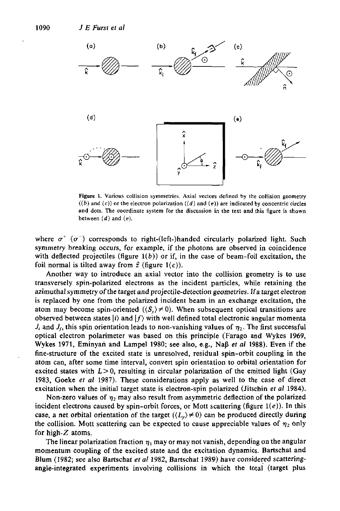

**Figure 1. Various collision symmetries. Axial vectors defined by the collision geometry**   $((b)$  and  $(c)$ ) or the electron polarization  $((d)$  and  $(e)$ ) are indicated by concentric circles and dots. The coordinate system for the discussion in the text and this figure is shown between  $(d)$  and  $(e)$ .

where  $\sigma^+$  ( $\sigma^-$ ) corresponds to right-(left-)handed circularly polarized light. Such symmetry breaking occurs, for example, if the photons are observed in coincidence with deflected projectiles (figure  $1(b)$ ) or if, in the case of beam-foil excitation, the foil normal is tilted away from  $\hat{z}$  (figure  $1(c)$ ).

Another way to introduce an axial vector into the collision geometry is to use transversely spin-polarized electrons as the incident particles, while retaining the azimuthal symmetry of the target and projectile-detection geometries. Ira target electron is replaced by one from the polarized incident beam in an exchange excitation, the atom may become spin-oriented  $(\langle S_v \rangle \neq 0)$ . When subsequent optical transitions are observed between states *li)* and *If)* with well defined total electronic angular momenta  $J_i$  and  $J_f$ , this spin orientation leads to non-vanishing values of  $\eta_2$ . The first successful optical electron polarimeter was based on this principle (Farago and Wykes 1969, Wykes **1971,** Eminyan and Lampel **1980;** see also, e.g., Nap *ef a1* **1988).** Even if the fine-structure of the excited state is unresolved, residual spin-orbit coupling in the atom can, after some time interval, convert spin orientation to orbital orientation for excited states with  $L>0$ , resulting in circular polarization of the emitted light (Gay **1983,** Goeke et *a1* **1987).** These considerations apply as well to the case of direct excitation when the initial target state is electron-spin polarized (Jitschin *et a1* **1984).** 

Non-zero values of  $\eta_2$  may also result from asymmetric deflection of the polarized incident electrons caused by spin-orbit forces, or Mott scattering (figure **l(e)).** In this case, a net orbital orientation of the target  $((L<sub>v</sub>) \neq 0)$  can be produced directly during the collision. Mott scattering can be expected to cause appreciable values of  $\eta_2$  only for high-Z atoms. recase, a net orb<br>the collision. I<br>for high-Z ato

The linear polarization fraction  $\eta_1$  may or may not vanish, depending on the angular momentum coupling of the excited state and the excitation dynamics. Bartschat and BIum **(1982;** see also Bartschat et *a/* **1982,** Bartschat **1989)** have considered scatteringangle-integrated experiments involving collisions in which the total (target plus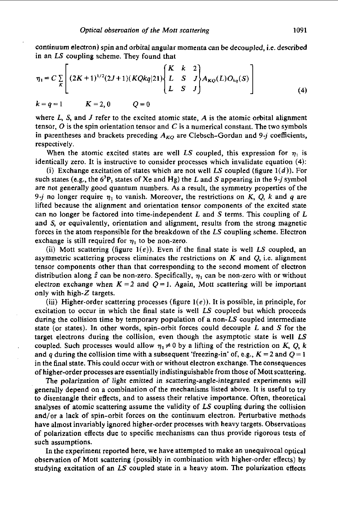continuum electron) spin and orbital angular momenta can be decoupled, i.e. described in an LS coupling scheme. They found that

$$
\eta_1 = C \sum_{K} \left[ (2K+1)^{1/2} (2J+1) (KQkq) 21) \begin{Bmatrix} K & k & 2 \\ L & S & J \\ L & S & J \end{Bmatrix} A_{KQ}(L) O_{kq}(S) \right]
$$
  
\n
$$
k = q = 1 \qquad K = 2, 0 \qquad Q = 0 \qquad (4)
$$

where  $L$ ,  $S$ , and  $J$  refer to the excited atomic state,  $A$  is the atomic orbital alignment tensor,  $\overline{O}$  is the spin orientation tensor and  $\overline{C}$  is a numerical constant. The two symbols in parentheses and brackets preceding  $A_{KQ}$  are Clebsch-Gordan and 9-j coefficients, respectively.

When the atomic excited states are well LS coupled, this expression for  $\eta_1$  is identically zero. It is instructive to consider processes which invalidate equation **(4):** 

(i) Exchange excitation of states which are not well LS coupled (figure  $1(d)$ ). For such states (e.g., the  $6^{3}P_1$  states of Xe and Hg) the L and S appearing in the 9-j symbol are not generally good quantum numbers. As a result, the symmetry properties of the 9-j no longer require  $\eta_1$  to vanish. Moreover, the restrictions on *K*, *Q*, *k* and *q* are lifted because the alignment and orientation tensor components of the excited state can no longer be factored into time-independent L and *S* terms. This coupling of L and *S,* or equivalently, orientation and alignment, results from the strong magnetic forces in the atom responsible for the breakdown of the LS coupling scheme. Electron exchange is still required for  $\eta_1$  to be non-zero.

(ii) Mott scattering (figure  $1(e)$ ). Even if the final state is well LS coupled, an asymmetric scattering process eliminates the restrictions **on** *K* and *Q,* i.e. alignment tensor components other than that corresponding to the second moment of electron distribution along  $\hat{z}$  can be non-zero. Specifically,  $\eta_1$  can be non-zero with or without electron exchange when  $K = 2$  and  $Q = 1$ . Again, Mott scattering will be important only with high- $Z$  targets.

(iii) Higher-order scattering processes (figure  $1(e)$ ). It is possible, in principle, for excitation to occur in which the final state is well  $LS$  coupled but which proceeds during the collision time by temporary population of a non- $LS$  coupled intermediate state (or states). In other words, spin-orbit forces could decouple L and *S* for the target electrons during the collision, even though the asymptotic state is well *LS*  coupled. Such processes would allow  $\eta_1 \neq 0$  by a lifting of the restriction on K, Q, *k* and *q* during the collision time with a subsequent 'freezing-in' of, e.g.,  $K = 2$  and  $Q = 1$ in the final state. This could occur with or without electron exchange. The consequences of higher-order processes are essentially indistinguishable from those of Mott scattering.

The polarization of light emitted in scattering-angle-integrated experiments will generally depend on a combination of the mechanisms listed above. It is useful to try to disentangle their effects, and to assess their relative importance. Often, theoretical analyses of atomic scattering assume the validity of  $LS$  coupling during the collision and/or a lack of spin-orbit forces **on** the continuum electron. Perturbative methods have almost invariably ignored higher-order processes with heavy targets. Observations of polarization effects due to specific mechanisms can thus provide rigorous tests of such assumptions.

In the experiment reported here, we have attempted to make an unequivocal optical observation of Mott scattering (possibly in combination with higher-order effects) by studying excitation of an LS coupled state in a heavy atom. The polarization effects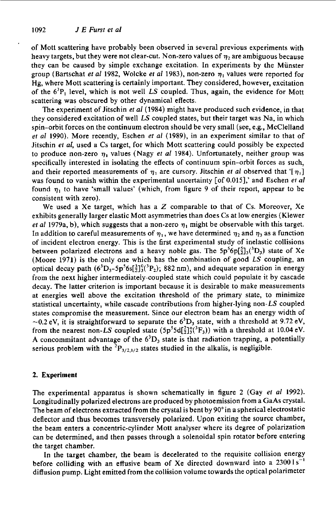of Mott scattering have probably been observed in several previous experiments with heavy targets, but they were not clear-cut. Non-zero values of  $\eta_2$  are ambiguous because they can be caused by simple exchange excitation. In experiments by the Munster group (Bartschat *et al* 1982, Wolcke *et al* 1983), non-zero  $\eta_1$  values were reported for Hg, where Mott scattering is certainly important. They considered, however, excitation of the  $6^{3}P_1$  level, which is not well LS coupled. Thus, again, the evidence for Mott scattering was obscured by other dynamical effects.

The experiment of Jitschin *el* al(1984) might have produced such evidence, in that they considered excitation of well  $LS$  coupled states, but their target was Na, in which spin-orbit forces on the continuum electron should be very small (see, e.g., McClelland et *a/* 1990). More recently, Eschen *ef* al (1989), in an experiment similar to that of Jitschin *ef al,* used a Cs target, for which Mott scattering could possibly be expected to produce non-zero  $\eta_1$  values (Nagy *et al 1984*). Unfortunately, neither group was specifically interested in isolating the effects of continuum spin-orbit forces as such, and their reported measurements of  $\eta_1$  are cursory. Jitschin *et al* observed that '[ $\eta_1$ ] was found to vanish within the experimental uncertainty [of **0.0151,'** and Eschen et al found  $\eta_1$  to have 'small values' (which, from figure 9 of their report, appear to be consistent with zero).

We used a Xe target, which has a  $Z$  comparable to that of Cs. Moreover, Xe exhibits generally larger elastic Mott asymmetries than does Cs at low energies (Klewer *et al 1979a, b), which suggests that a non-zero*  $\eta_1$  might be observable with this target. In addition to careful measurements of  $\eta_1$ , we have determined  $\eta_2$  and  $\eta_3$  as a function of incident electron energy. This is the first experimental study of inelastic collisions between polarized electrons and a heavy noble gas. The  $5p^56p[\frac{5}{2}]_3(^3D_3)$  state of Xe (Moore **1971)** is the only one which has the combination of good LS coupling, an optical decay path  $(6^3D_3-5p^56s[\frac{3}{2}]_3^0(^3P_2)$ ; 882 nm), and adequate separation in energy from the next higher intermediateiy-coupied state which couid popuiate it by cascade decay. The latter criterion is important because it is desirable to make measurements at energies well above the excitation threshold of the primary state, to minimize statistical uncertainty, while cascade contributions from higher-lying non-LS coupled states compromise the measurement. Since our electron beam has an energy width of  $\sim$ 0.2 eV, it is straightforward to separate the  $6<sup>3</sup>D<sub>3</sub>$  state, with a threshold at 9.72 eV, from the nearest non-LS coupled state  $(5p^55d[\frac{7}{2}]\frac{3}{3}(^3F_3))$  with a threshold at 10.04 eV. A concommitant advantage of the  $6<sup>3</sup>D<sub>3</sub>$  state is that radiation trapping, a potentially serious problem with the  ${}^{2}P_{3/2,1/2}$  states studied in the alkalis, is negligible.

## **2. Experiment**

The experimental apparatus is shown schematically in figure 2 (Gay *ef* a/ 1992). Longitudinally polarized electrons are produced by photoemission from a GaAs crystal. The beam of electrons extracted from the crystal is bent by 90"in a spherical electrostatic deflector and thus becomes transversely polarized. Upon exiting the source chamber, the beam enters a concentric-cylinder Mott analyser where its degree of polarization can be determined, and then passes through a solenoidal spin rotator before entering the target chamber.

In the target chamber, the beam is decelerated to the requisite collision energy before colliding with an effusive beam of Xe directed downward into a **23001s-'**  diffusion pump. Light emitted from the collision volume towards the optical polarimeter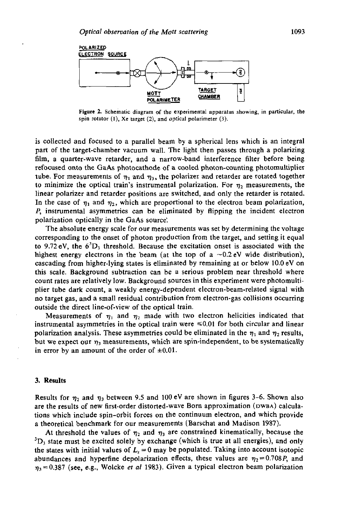

**Figure 2. Schematic diagram of the experimental apparatus showing, in particular, the spin rotator (I), Xe target (2). and optical polarimeter (3).** 

is collected and focused to a parallel beam by a spherical lens which is an integral part of the target-chamber vacuum wall. The light then passes through a polarizing **film,** a quarter-wave retarder, and a narrow-band interference filter before being refocused onto the GaAs photocathode of a cooled photon-oounting photomultiplier tube. For measurements of  $\eta_1$  and  $\eta_3$ , the polarizer and retarder are rotated together to minimize the optical train's instrumental polarization. For  $\eta_2$  measurements, the linear polarizer and retarder positions are switched, and only the retarder is rotated. In the case of  $\eta_1$  and  $\eta_2$ , which are proportional to the electron beam polarization, **P,** instrumental asymmetries can be eliminated by flipping the incident electron polarization optically in the GaAs source:

The absolute energy scale for **our** measurements was set by determining the voltage corresponding to the onset of photon production from the target, and setting it equal to 9.72 eV, the  $6^{3}D_3$  threshold. Because the excitation onset is associated with the highest energy electrons in the beam (at the top of a  $\sim 0.2$  eV wide distribution), cascading from higher-lying states is eliminated by remaining at or below **10.0 eV** on this scale. Background subtraction can be a serious problem near threshold where count rates are relatively low. Background sources in this experiment were photomultiplier tube dark count, a weakly energy-dependent electron-beam-related signal with no target gas, and a small residual contribution from electron-gas collisions occurring outside the direct line-of-view of the optical train.

Measurements of  $\eta_1$  and  $\eta_2$  made with two electron helicities indicated that instrumental asymmetries in the optical train were  $\leq 0.01$  for both circular and linear polarization analysis. These asymmetries could be eliminated in the  $\eta_1$  and  $\eta_2$  results, but we expect our  $\eta_3$  measurements, which are spin-independent, to be systematically in error by an amount of the order of  $\pm 0.01$ .

#### 3. Results

Results for  $\eta_2$  and  $\eta_3$  between 9.5 and 100 eV are shown in figures 3–6. Shown also are the results of new first-order distorted-wave Born approximation (DWBA) calculations which include spin-orbit forces on the continuum electron, and which provide a theoretical benchmark for our measurements (Barschat and Madison **1987).** 

At threshold the values of  $\eta_2$  and  $\eta_3$  are constrained kinematically, because the  ${}^{3}D_3$  state must be excited solely by exchange (which is true at all energies), and only the states with initial values of  $L_z = 0$  may be populated. Taking into account isotopic abundances and hyperfine depolarization effects, these values are  $\eta_2 = 0.708P$ , and  $\eta_3 = 0.387$  (see, e.g., Wolcke *et al* 1983). Given a typical electron beam polarization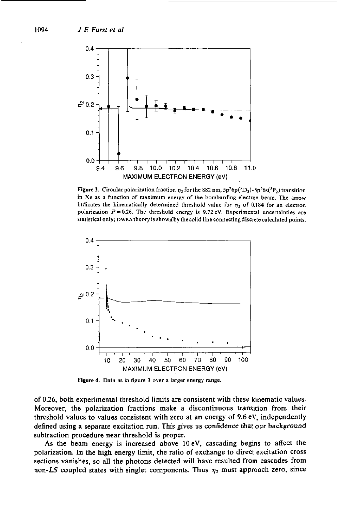

**Figure 3.** Circular polarization fraction  $\eta_2$  for the 882 nm,  $5p^56p(^3D_3)-5p^56s(^3P_2)$  transition **in Xe as a function of maximum energy of the bombarding electron beam. The arrow**  indicates the kinematically determined threshold value for  $\eta_2$  of 0.184 for an electron polarization  $P = 0.26$ . The threshold energy is 9.72 eV. Experimental uncertainties are statistical only; DWBA theory is shown'by the solid line connecting discrete calculated points.



**Figure 4. Data as in figure 3 over a larger energy range.** 

of 0.26, both experimental threshold limits are consistent with these kinematic values. Moreover, the polarization fractions make a discontinuous transition from their threshold values to values consistent with zero at an energy of 9.6 eV, independently defined using a separate excitation run. This gives us confidence that **our** background subtraction procedure near threshold is proper.

As the beam energy is increased above lOeV, cascading begins to affect the polarization. In the high energy limit, the ratio of exchange to direct excitation cross sections vanishes, so all the photons detected will have resulted **from** cascades from non-LS coupled states with singlet components. Thus  $\eta_2$  must approach zero, since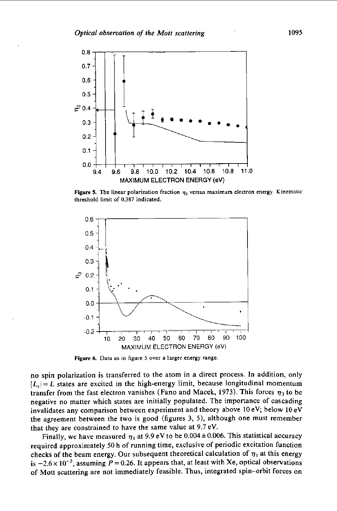

**Figure 5. The linear** polarization fraction *7,* **versus** maximum electron **energy.** Kinematic threshold limit of 0.387 indicated.



**Figure** *6.* **Data as in figure** *5* **over a larger energy range** 

no spin polarization is transferred to the atom in a direct process. In addition, only  $|L_z| = L$  states are excited in the high-energy limit, because longitudinal momentum transfer from the fast electron vanishes (Fano and Macek, 1973). This forces  $\eta_3$  to be negative no matter which states are initially populated. The importance of cascading invalidates any comparison between experiment and theory above 10 eV; below 10 eV the agreement between the two is good (figures **3,** *5),* although one must remember that they are constrained to have the same value at 9.7 eV.

Finally, we have measured  $\eta_1$  at 9.9 eV to be 0.004 ± 0.006. This statistical accuracy required approximately **50** h of running time, exclusive of periodic excitation function checks of the beam energy. Our subsequent theoretical calculation of  $\eta_1$  at this energy is  $-2.6 \times 10^{-5}$ , assuming  $P = 0.26$ . It appears that, at least with Xe, optical observations of Mott scattering are not immediately feasible. Thus, integrated spin-orbit forces on